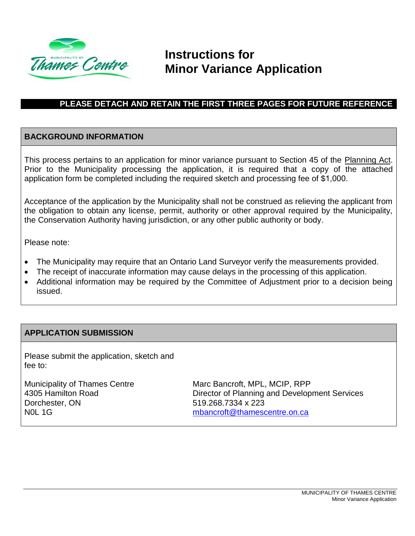

# **Instructions for Minor Variance Application**

### **PLEASE DETACH AND RETAIN THE FIRST THREE PAGES FOR FUTURE REFERENCE**

#### **BACKGROUND INFORMATION**

This process pertains to an application for minor variance pursuant to Section 45 of the Planning Act. Prior to the Municipality processing the application, it is required that a copy of the attached application form be completed including the required sketch and processing fee of \$1,000.

Acceptance of the application by the Municipality shall not be construed as relieving the applicant from the obligation to obtain any license, permit, authority or other approval required by the Municipality, the Conservation Authority having jurisdiction, or any other public authority or body.

Please note:

- The Municipality may require that an Ontario Land Surveyor verify the measurements provided.
- The receipt of inaccurate information may cause delays in the processing of this application.
- Additional information may be required by the Committee of Adjustment prior to a decision being issued.

#### **APPLICATION SUBMISSION**

Please submit the application, sketch and fee to:

Municipality of Thames Centre 4305 Hamilton Road Dorchester, ON N0L 1G

Marc Bancroft, MPL, MCIP, RPP Director of Planning and Development Services 519.268.7334 x 223 [mbancroft@thamescentre.on.ca](mailto:mbancroft@thamescentre.on.ca)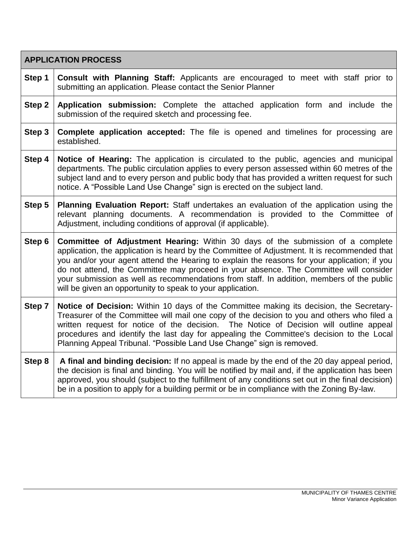| <b>APPLICATION PROCESS</b> |                                                                                                                                                                                                                                                                                                                                                                                                                                                                                                                                            |  |  |  |
|----------------------------|--------------------------------------------------------------------------------------------------------------------------------------------------------------------------------------------------------------------------------------------------------------------------------------------------------------------------------------------------------------------------------------------------------------------------------------------------------------------------------------------------------------------------------------------|--|--|--|
| Step 1                     | <b>Consult with Planning Staff:</b> Applicants are encouraged to meet with staff prior to<br>submitting an application. Please contact the Senior Planner                                                                                                                                                                                                                                                                                                                                                                                  |  |  |  |
| Step 2                     | Application submission: Complete the attached application form and include the<br>submission of the required sketch and processing fee.                                                                                                                                                                                                                                                                                                                                                                                                    |  |  |  |
| Step 3                     | <b>Complete application accepted:</b> The file is opened and timelines for processing are<br>established.                                                                                                                                                                                                                                                                                                                                                                                                                                  |  |  |  |
| Step 4                     | <b>Notice of Hearing:</b> The application is circulated to the public, agencies and municipal<br>departments. The public circulation applies to every person assessed within 60 metres of the<br>subject land and to every person and public body that has provided a written request for such<br>notice. A "Possible Land Use Change" sign is erected on the subject land.                                                                                                                                                                |  |  |  |
| Step 5                     | Planning Evaluation Report: Staff undertakes an evaluation of the application using the<br>relevant planning documents. A recommendation is provided to the Committee of<br>Adjustment, including conditions of approval (if applicable).                                                                                                                                                                                                                                                                                                  |  |  |  |
| Step 6                     | <b>Committee of Adjustment Hearing:</b> Within 30 days of the submission of a complete<br>application, the application is heard by the Committee of Adjustment. It is recommended that<br>you and/or your agent attend the Hearing to explain the reasons for your application; if you<br>do not attend, the Committee may proceed in your absence. The Committee will consider<br>your submission as well as recommendations from staff. In addition, members of the public<br>will be given an opportunity to speak to your application. |  |  |  |
| Step 7                     | Notice of Decision: Within 10 days of the Committee making its decision, the Secretary-<br>Treasurer of the Committee will mail one copy of the decision to you and others who filed a<br>written request for notice of the decision. The Notice of Decision will outline appeal<br>procedures and identify the last day for appealing the Committee's decision to the Local<br>Planning Appeal Tribunal. "Possible Land Use Change" sign is removed.                                                                                      |  |  |  |
| Step 8                     | A final and binding decision: If no appeal is made by the end of the 20 day appeal period,<br>the decision is final and binding. You will be notified by mail and, if the application has been<br>approved, you should (subject to the fulfillment of any conditions set out in the final decision)<br>be in a position to apply for a building permit or be in compliance with the Zoning By-law.                                                                                                                                         |  |  |  |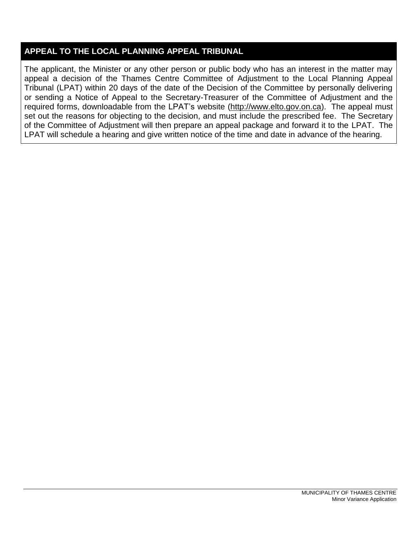## **APPEAL TO THE LOCAL PLANNING APPEAL TRIBUNAL**

The applicant, the Minister or any other person or public body who has an interest in the matter may appeal a decision of the Thames Centre Committee of Adjustment to the Local Planning Appeal Tribunal (LPAT) within 20 days of the date of the Decision of the Committee by personally delivering or sending a Notice of Appeal to the Secretary-Treasurer of the Committee of Adjustment and the required forms, downloadable from the LPAT's website [\(http://www.elto.gov.on.ca\)](http://www.elto.gov.on.ca/). The appeal must set out the reasons for objecting to the decision, and must include the prescribed fee. The Secretary of the Committee of Adjustment will then prepare an appeal package and forward it to the LPAT. The LPAT will schedule a hearing and give written notice of the time and date in advance of the hearing.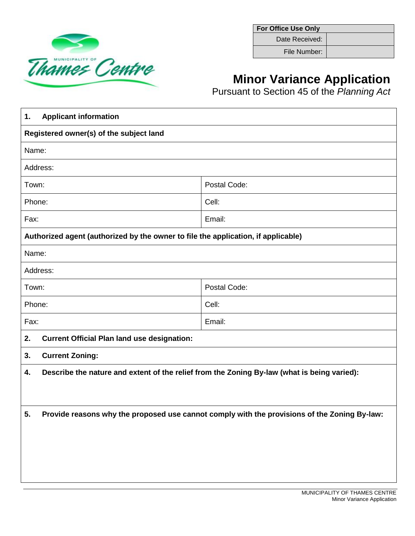

**For Office Use Only** Date Received:

File Number:

# **Minor Variance Application**

Pursuant to Section 45 of the *Planning Act*

| <b>Applicant information</b><br>1.                                                                 |                                                                                             |  |  |  |
|----------------------------------------------------------------------------------------------------|---------------------------------------------------------------------------------------------|--|--|--|
| Registered owner(s) of the subject land                                                            |                                                                                             |  |  |  |
| Name:                                                                                              |                                                                                             |  |  |  |
| Address:                                                                                           |                                                                                             |  |  |  |
| Town:                                                                                              | Postal Code:                                                                                |  |  |  |
| Phone:                                                                                             | Cell:                                                                                       |  |  |  |
| Fax:                                                                                               | Email:                                                                                      |  |  |  |
| Authorized agent (authorized by the owner to file the application, if applicable)                  |                                                                                             |  |  |  |
| Name:                                                                                              |                                                                                             |  |  |  |
| Address:                                                                                           |                                                                                             |  |  |  |
| Postal Code:<br>Town:                                                                              |                                                                                             |  |  |  |
| Cell:<br>Phone:                                                                                    |                                                                                             |  |  |  |
| Fax:                                                                                               | Email:                                                                                      |  |  |  |
| <b>Current Official Plan land use designation:</b><br>2.                                           |                                                                                             |  |  |  |
| 3.<br><b>Current Zoning:</b>                                                                       |                                                                                             |  |  |  |
| 4.                                                                                                 | Describe the nature and extent of the relief from the Zoning By-law (what is being varied): |  |  |  |
|                                                                                                    |                                                                                             |  |  |  |
| Provide reasons why the proposed use cannot comply with the provisions of the Zoning By-law:<br>5. |                                                                                             |  |  |  |
|                                                                                                    |                                                                                             |  |  |  |
|                                                                                                    |                                                                                             |  |  |  |
|                                                                                                    |                                                                                             |  |  |  |
|                                                                                                    |                                                                                             |  |  |  |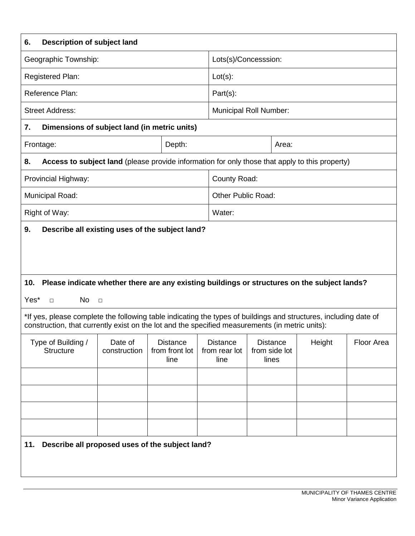| 6.                                                                                                                                                                                                                  | <b>Description of subject land</b> |                                           |                                          |                                           |        |            |  |
|---------------------------------------------------------------------------------------------------------------------------------------------------------------------------------------------------------------------|------------------------------------|-------------------------------------------|------------------------------------------|-------------------------------------------|--------|------------|--|
| Geographic Township:                                                                                                                                                                                                |                                    | Lots(s)/Concesssion:                      |                                          |                                           |        |            |  |
| Registered Plan:                                                                                                                                                                                                    | $Lot(s)$ :                         |                                           |                                          |                                           |        |            |  |
| Reference Plan:                                                                                                                                                                                                     |                                    |                                           | Part(s):                                 |                                           |        |            |  |
| <b>Street Address:</b>                                                                                                                                                                                              |                                    |                                           |                                          | <b>Municipal Roll Number:</b>             |        |            |  |
| Dimensions of subject land (in metric units)<br>7.                                                                                                                                                                  |                                    |                                           |                                          |                                           |        |            |  |
| Frontage:                                                                                                                                                                                                           |                                    | Depth:                                    |                                          | Area:                                     |        |            |  |
| Access to subject land (please provide information for only those that apply to this property)<br>8.                                                                                                                |                                    |                                           |                                          |                                           |        |            |  |
| Provincial Highway:                                                                                                                                                                                                 |                                    |                                           | County Road:                             |                                           |        |            |  |
| Municipal Road:                                                                                                                                                                                                     |                                    |                                           | <b>Other Public Road:</b>                |                                           |        |            |  |
| Right of Way:                                                                                                                                                                                                       |                                    |                                           | Water:                                   |                                           |        |            |  |
| Describe all existing uses of the subject land?<br>9.<br>Please indicate whether there are any existing buildings or structures on the subject lands?<br>10.<br>Yes*<br>No<br>$\Box$<br>$\Box$                      |                                    |                                           |                                          |                                           |        |            |  |
| *If yes, please complete the following table indicating the types of buildings and structures, including date of<br>construction, that currently exist on the lot and the specified measurements (in metric units): |                                    |                                           |                                          |                                           |        |            |  |
| Type of Building /<br><b>Structure</b>                                                                                                                                                                              | Date of<br>construction            | <b>Distance</b><br>from front lot<br>line | <b>Distance</b><br>from rear lot<br>line | <b>Distance</b><br>from side lot<br>lines | Height | Floor Area |  |
|                                                                                                                                                                                                                     |                                    |                                           |                                          |                                           |        |            |  |
|                                                                                                                                                                                                                     |                                    |                                           |                                          |                                           |        |            |  |
|                                                                                                                                                                                                                     |                                    |                                           |                                          |                                           |        |            |  |
|                                                                                                                                                                                                                     |                                    |                                           |                                          |                                           |        |            |  |
| 11. Describe all proposed uses of the subject land?                                                                                                                                                                 |                                    |                                           |                                          |                                           |        |            |  |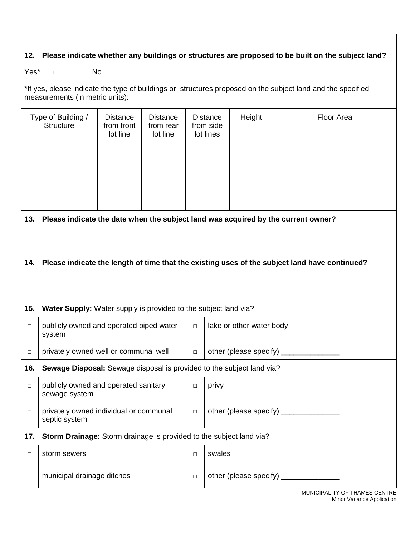#### **12. Please indicate whether any buildings or structures are proposed to be built on the subject land?**

Yes\* □ No □

\*If yes, please indicate the type of buildings or structures proposed on the subject land and the specified measurements (in metric units):

|        | Type of Building /<br><b>Structure</b>                                | <b>Distance</b><br>from front<br>lot line | <b>Distance</b><br>from rear<br>lot line |        | <b>Distance</b><br>from side<br>lot lines | Height                       | <b>Floor Area</b>                                                                                 |
|--------|-----------------------------------------------------------------------|-------------------------------------------|------------------------------------------|--------|-------------------------------------------|------------------------------|---------------------------------------------------------------------------------------------------|
|        |                                                                       |                                           |                                          |        |                                           |                              |                                                                                                   |
|        |                                                                       |                                           |                                          |        |                                           |                              |                                                                                                   |
|        |                                                                       |                                           |                                          |        |                                           |                              |                                                                                                   |
|        |                                                                       |                                           |                                          |        |                                           |                              |                                                                                                   |
| 13.    |                                                                       |                                           |                                          |        |                                           |                              | Please indicate the date when the subject land was acquired by the current owner?                 |
|        |                                                                       |                                           |                                          |        |                                           |                              |                                                                                                   |
|        |                                                                       |                                           |                                          |        |                                           |                              |                                                                                                   |
|        |                                                                       |                                           |                                          |        |                                           |                              | 14. Please indicate the length of time that the existing uses of the subject land have continued? |
|        |                                                                       |                                           |                                          |        |                                           |                              |                                                                                                   |
| 15.    | Water Supply: Water supply is provided to the subject land via?       |                                           |                                          |        |                                           |                              |                                                                                                   |
| $\Box$ | publicly owned and operated piped water<br>system                     |                                           |                                          | $\Box$ |                                           | lake or other water body     |                                                                                                   |
| $\Box$ | privately owned well or communal well                                 |                                           |                                          | $\Box$ |                                           | other (please specify) _____ |                                                                                                   |
| 16.    | Sewage Disposal: Sewage disposal is provided to the subject land via? |                                           |                                          |        |                                           |                              |                                                                                                   |
| $\Box$ | publicly owned and operated sanitary<br>sewage system                 |                                           |                                          | $\Box$ | privy                                     |                              |                                                                                                   |
| $\Box$ | privately owned individual or communal<br>septic system               |                                           |                                          | $\Box$ |                                           | other (please specify)       |                                                                                                   |
| 17.    | Storm Drainage: Storm drainage is provided to the subject land via?   |                                           |                                          |        |                                           |                              |                                                                                                   |
| О      | storm sewers                                                          |                                           |                                          | $\Box$ | swales                                    |                              |                                                                                                   |
| О      | municipal drainage ditches                                            |                                           |                                          | $\Box$ |                                           |                              | MUNICIDALITY OF TUAMER CENTRE                                                                     |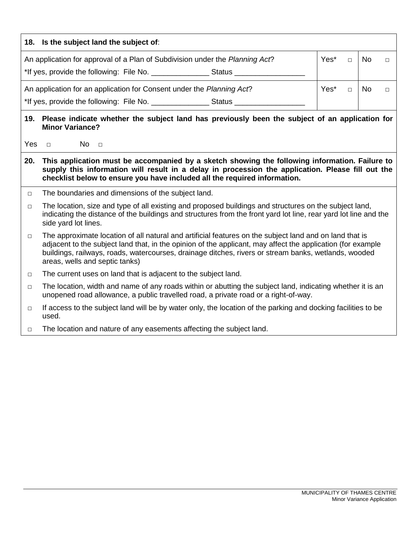| 18. Is the subject land the subject of:                                                                                         |      |  |    |  |  |
|---------------------------------------------------------------------------------------------------------------------------------|------|--|----|--|--|
| Yes*<br>No<br>An application for approval of a Plan of Subdivision under the Planning Act?                                      |      |  |    |  |  |
| An application for an application for Consent under the Planning Act?                                                           | Yes* |  | No |  |  |
| Please indicate whether the subject land has previously been the subject of an application for<br>19.<br><b>Minor Variance?</b> |      |  |    |  |  |

Yes □ No □

- **20. This application must be accompanied by a sketch showing the following information. Failure to supply this information will result in a delay in procession the application. Please fill out the checklist below to ensure you have included all the required information.**
- □ The boundaries and dimensions of the subject land.
- $\Box$  The location, size and type of all existing and proposed buildings and structures on the subject land, indicating the distance of the buildings and structures from the front yard lot line, rear yard lot line and the side yard lot lines.
- $\Box$  The approximate location of all natural and artificial features on the subject land and on land that is adjacent to the subject land that, in the opinion of the applicant, may affect the application (for example buildings, railways, roads, watercourses, drainage ditches, rivers or stream banks, wetlands, wooded areas, wells and septic tanks)
- □ The current uses on land that is adjacent to the subject land.
- □ The location, width and name of any roads within or abutting the subject land, indicating whether it is an unopened road allowance, a public travelled road, a private road or a right-of-way.
- $\Box$  If access to the subject land will be by water only, the location of the parking and docking facilities to be used.
- $\Box$  The location and nature of any easements affecting the subject land.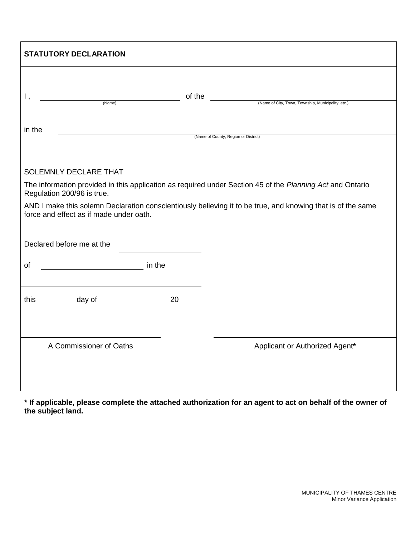| <b>STATUTORY DECLARATION</b>            |          |                                                                                                             |  |  |  |
|-----------------------------------------|----------|-------------------------------------------------------------------------------------------------------------|--|--|--|
| Ι,<br>(Name)                            | of the   |                                                                                                             |  |  |  |
|                                         |          | (Name of City, Town, Township, Municipality, etc.)                                                          |  |  |  |
| in the                                  |          |                                                                                                             |  |  |  |
|                                         |          | (Name of County, Region or District)                                                                        |  |  |  |
|                                         |          |                                                                                                             |  |  |  |
| SOLEMNLY DECLARE THAT                   |          |                                                                                                             |  |  |  |
| Regulation 200/96 is true.              |          | The information provided in this application as required under Section 45 of the Planning Act and Ontario   |  |  |  |
| force and effect as if made under oath. |          | AND I make this solemn Declaration conscientiously believing it to be true, and knowing that is of the same |  |  |  |
|                                         |          |                                                                                                             |  |  |  |
| Declared before me at the               |          |                                                                                                             |  |  |  |
| οf                                      |          |                                                                                                             |  |  |  |
|                                         |          |                                                                                                             |  |  |  |
| day of _______________<br>this          | 20 30 31 |                                                                                                             |  |  |  |
|                                         |          |                                                                                                             |  |  |  |
|                                         |          |                                                                                                             |  |  |  |
| A Commissioner of Oaths                 |          | Applicant or Authorized Agent*                                                                              |  |  |  |
|                                         |          |                                                                                                             |  |  |  |
|                                         |          |                                                                                                             |  |  |  |
|                                         |          |                                                                                                             |  |  |  |

**\* If applicable, please complete the attached authorization for an agent to act on behalf of the owner of the subject land.**